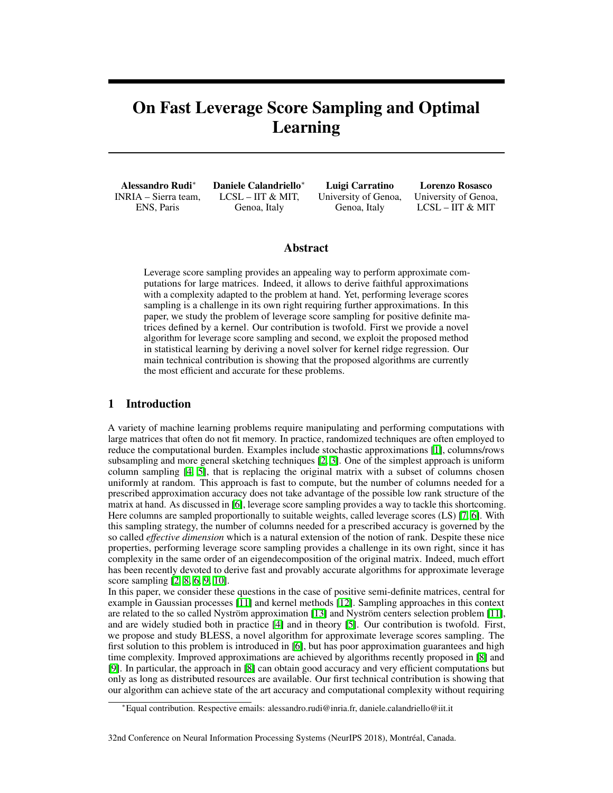# <span id="page-0-0"></span>On Fast Leverage Score Sampling and Optimal Learning

Alessandro Rudi<sup>\*</sup> INRIA – Sierra team, ENS, Paris

Daniele Calandriello<sup>\*</sup> LCSL – IIT & MIT, Genoa, Italy

Luigi Carratino University of Genoa, Genoa, Italy

Lorenzo Rosasco University of Genoa, LCSL – IIT & MIT

# Abstract

<span id="page-0-2"></span>Leverage score sampling provides an appealing way to perform approximate computations for large matrices. Indeed, it allows to derive faithful approximations with a complexity adapted to the problem at hand. Yet, performing leverage scores sampling is a challenge in its own right requiring further approximations. In this paper, we study the problem of leverage score sampling for positive definite matrices defined by a kernel. Our contribution is twofold. First we provide a novel algorithm for leverage score sampling and second, we exploit the proposed method in statistical learning by deriving a novel solver for kernel ridge regression. Our main technical contribution is showing that the proposed algorithms are currently the most efficient and accurate for these problems.

## 1 Introduction

A variety of machine learning problems require manipulating and performing computations with large matrices that often do not fit memory. In practice, randomized techniques are often employed to reduce the computational burden. Examples include stochastic approximations [\[1\]](#page-9-0), columns/rows subsampling and more general sketching techniques  $[2, 3]$  $[2, 3]$  $[2, 3]$ . One of the simplest approach is uniform column sampling  $[4, 5]$  $[4, 5]$  $[4, 5]$ , that is replacing the original matrix with a subset of columns chosen uniformly at random. This approach is fast to compute, but the number of columns needed for a prescribed approximation accuracy does not take advantage of the possible low rank structure of the matrix at hand. As discussed in  $[6]$ , leverage score sampling provides a way to tackle this shortcoming. Here columns are sampled proportionally to suitable weights, called leverage scores (LS)  $\boxed{7}$ ,  $\boxed{6}$ . With this sampling strategy, the number of columns needed for a prescribed accuracy is governed by the so called *effective dimension* which is a natural extension of the notion of rank. Despite these nice properties, performing leverage score sampling provides a challenge in its own right, since it has complexity in the same order of an eigendecomposition of the original matrix. Indeed, much effort has been recently devoted to derive fast and provably accurate algorithms for approximate leverage score sampling  $[2, 8, 6, 9, 10]$  $[2, 8, 6, 9, 10]$  $[2, 8, 6, 9, 10]$  $[2, 8, 6, 9, 10]$  $[2, 8, 6, 9, 10]$ .

In this paper, we consider these questions in the case of positive semi-definite matrices, central for example in Gaussian processes  $\begin{bmatrix} 1 & 1 \\ 1 & 2 \end{bmatrix}$  and kernel methods  $\begin{bmatrix} 2 \\ 1 & 2 \end{bmatrix}$ . Sampling approaches in this context are related to the so called Nyström approximation  $\boxed{13}$  and Nyström centers selection problem  $\boxed{11}$ , and are widely studied both in practice  $[4]$  and in theory  $[5]$ . Our contribution is twofold. First, we propose and study BLESS, a novel algorithm for approximate leverage scores sampling. The first solution to this problem is introduced in  $[6]$ , but has poor approximation guarantees and high time complexity. Improved approximations are achieved by algorithms recently proposed in [\[8\]](#page-9-7) and  $[9]$ . In particular, the approach in  $[8]$  can obtain good accuracy and very efficient computations but only as long as distributed resources are available. Our first technical contribution is showing that our algorithm can achieve state of the art accuracy and computational complexity without requiring

#### 32nd Conference on Neural Information Processing Systems (NeurIPS 2018), Montréal, Canada.

<span id="page-0-1"></span><sup>⇤</sup>Equal contribution. Respective emails: alessandro.rudi@inria.fr, daniele.calandriello@iit.it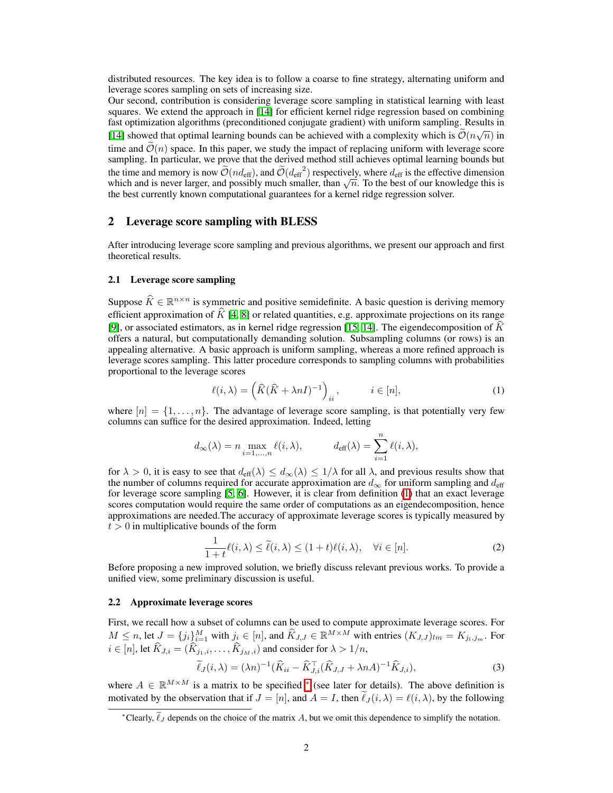distributed resources. The key idea is to follow a coarse to fine strategy, alternating uniform and leverage scores sampling on sets of increasing size.

Our second, contribution is considering leverage score sampling in statistical learning with least squares. We extend the approach in  $\boxed{14}$  for efficient kernel ridge regression based on combining fast optimization algorithms (preconditioned conjugate gradient) with uniform sampling. Results in [\[14\]](#page-9-13) showed that optimal learning bounds can be achieved with a complexity which is  $\tilde{O}(n\sqrt{n})$  in time and  $\tilde{\mathcal{O}}(n)$  space. In this paper, we study the impact of replacing uniform with leverage score sampling. In particular, we prove that the derived method still achieves optimal learning bounds but the time and memory is now  $\widetilde{\mathcal{O}}(nd_{\text{eff}})$ , and  $\widetilde{\mathcal{O}}(d_{\text{eff}}^2)$  respectively, where  $d_{\text{eff}}$  is the effective dimension which and is never larger, and possibly much smaller, than  $\sqrt{n}$ . To the best of our knowledge this is the best currently known computational guarantees for a kernel ridge regression solver.

# 2 Leverage score sampling with BLESS

After introducing leverage score sampling and previous algorithms, we present our approach and first theoretical results.

#### 2.1 Leverage score sampling

Suppose  $\widehat{K} \in \mathbb{R}^{n \times n}$  is symmetric and positive semidefinite. A basic question is deriving memory efficient approximation of  $\hat{K}[\mathbf{4}, \mathbf{8}]$  or related quantities, e.g. approximate projections on its range [\[9\]](#page-9-8), or associated estimators, as in kernel ridge regression  $\boxed{15}$ ,  $\boxed{14}$ . The eigendecomposition of  $\widehat{K}$ offers a natural, but computationally demanding solution. Subsampling columns (or rows) is an appealing alternative. A basic approach is uniform sampling, whereas a more refined approach is leverage scores sampling. This latter procedure corresponds to sampling columns with probabilities proportional to the leverage scores

<span id="page-1-0"></span>
$$
\ell(i,\lambda) = \left(\widehat{K}(\widehat{K} + \lambda nI)^{-1}\right)_{ii}, \qquad i \in [n],
$$
\n(1)

where  $[n] = \{1, \ldots, n\}$ . The advantage of leverage score sampling, is that potentially very few columns can suffice for the desired approximation. Indeed, letting

$$
d_{\infty}(\lambda) = n \max_{i=1,\dots,n} \ell(i,\lambda), \qquad d_{\text{eff}}(\lambda) = \sum_{i=1}^{n} \ell(i,\lambda),
$$

for  $\lambda > 0$ , it is easy to see that  $d_{\text{eff}}(\lambda) \leq d_{\infty}(\lambda) \leq 1/\lambda$  for all  $\lambda$ , and previous results show that the number of columns required for accurate approximation are  $d_{\infty}$  for uniform sampling and  $d_{\text{eff}}$ for leverage score sampling  $\left[\frac{1}{2}\right]$ . However, it is clear from definition  $\left[\frac{1}{2}\right]$  that an exact leverage scores computation would require the same order of computations as an eigendecomposition, hence approximations are needed.The accuracy of approximate leverage scores is typically measured by  $t > 0$  in multiplicative bounds of the form

<span id="page-1-2"></span>
$$
\frac{1}{1+t}\ell(i,\lambda) \le \tilde{\ell}(i,\lambda) \le (1+t)\ell(i,\lambda), \quad \forall i \in [n].
$$
 (2)

Before proposing a new improved solution, we briefly discuss relevant previous works. To provide a unified view, some preliminary discussion is useful.

### 2.2 Approximate leverage scores

First, we recall how a subset of columns can be used to compute approximate leverage scores. For  $M \le n$ , let  $J = \{j_i\}_{i=1}^M$  with  $j_i \in [n]$ , and  $\hat{K}_{J, J} \in \mathbb{R}^{M \times M}$  with entries  $(K_{J, J})_{lm} = K_{j_l, j_m}$ . For  $i \in [n]$ , let  $\widehat{K}_{J,i} = (\widehat{K}_{j_1,i}, \ldots, \widehat{K}_{j_M,i})$  and consider for  $\lambda > 1/n$ ,

<span id="page-1-1"></span>
$$
\widetilde{\ell}_J(i,\lambda) = (\lambda n)^{-1} \left( \widehat{K}_{ii} - \widehat{K}_{J,i}^\top (\widehat{K}_{J,J} + \lambda n A)^{-1} \widehat{K}_{J,i} \right),\tag{3}
$$

where  $A \in \mathbb{R}^{M \times M}$  is a matrix to be specified  $\mathbb{R}$  (see later for details). The above definition is motivated by the observation that if  $J = [n]$ , and  $A = I$ , then  $\ell_J(i, \lambda) = \ell(i, \lambda)$ , by the following

<sup>\*</sup>Clearly,  $\ell_J$  depends on the choice of the matrix  $A$ , but we omit this dependence to simplify the notation.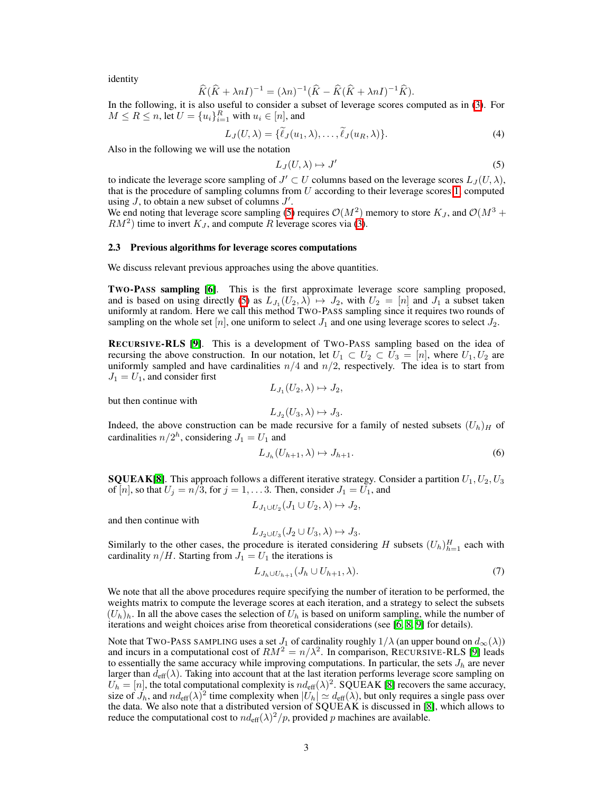identity

$$
\widehat{K}(\widehat{K} + \lambda nI)^{-1} = (\lambda n)^{-1}(\widehat{K} - \widehat{K}(\widehat{K} + \lambda nI)^{-1}\widehat{K}).
$$

In the following, it is also useful to consider a subset of leverage scores computed as in  $\boxed{3}$ . For  $M \leq R \leq n$ , let  $U = \{u_i\}_{i=1}^R$  with  $u_i \in [n]$ , and

$$
L_J(U,\lambda) = \{\ell_J(u_1,\lambda),\ldots,\ell_J(u_R,\lambda)\}.
$$
 (4)

Also in the following we will use the notation

<span id="page-2-0"></span>
$$
L_J(U,\lambda) \mapsto J' \tag{5}
$$

to indicate the leverage score sampling of  $J' \subset U$  columns based on the leverage scores  $L_J(U, \lambda)$ , that is the procedure of sampling columns from  $U$  according to their leverage scores  $\Pi$ , computed using  $J$ , to obtain a new subset of columns  $J'$ .

We end noting that leverage score sampling  $\left(5\right)$  requires  $\mathcal{O}(M^2)$  memory to store  $K_J$ , and  $\mathcal{O}(M^3 +$  $RM^2$ ) time to invert  $K_J$ , and compute *R* leverage scores via  $\mathcal{B}$ .

#### 2.3 Previous algorithms for leverage scores computations

We discuss relevant previous approaches using the above quantities.

**TWO-PASS sampling [\[6\]](#page-9-5).** This is the first approximate leverage score sampling proposed, and is based on using directly  $\left( \frac{5}{2} \right)$  as  $L_{J_1}(U_2, \lambda) \mapsto J_2$ , with  $U_2 = [n]$  and  $J_1$  a subset taken uniformly at random. Here we call this method TWO-PASS sampling since it requires two rounds of sampling on the whole set  $[n]$ , one uniform to select  $J_1$  and one using leverage scores to select  $J_2$ .

**RECURSIVE-RLS [\[9\]](#page-9-8).** This is a development of TWO-PASS sampling based on the idea of recursing the above construction. In our notation, let  $U_1 \subset U_2 \subset U_3 = [n]$ , where  $U_1, U_2$  are uniformly sampled and have cardinalities *n/*4 and *n/*2, respectively. The idea is to start from  $J_1 = U_1$ , and consider first

$$
L_{J_1}(U_2,\lambda)\mapsto J_2,
$$

but then continue with

<span id="page-2-1"></span>
$$
L_{J_2}(U_3,\lambda)\mapsto J_3.
$$

Indeed, the above construction can be made recursive for a family of nested subsets  $(U_h)$ <sup>H</sup> of cardinalities  $n/2^h$ , considering  $J_1 = U_1$  and

$$
L_{J_h}(U_{h+1}, \lambda) \mapsto J_{h+1}.\tag{6}
$$

**SQUEAK[\[8\]](#page-9-7)**. This approach follows a different iterative strategy. Consider a partition  $U_1, U_2, U_3$ of  $[n]$ , so that  $U_j = n/3$ , for  $j = 1, \ldots 3$ . Then, consider  $J_1 = U_1$ , and

$$
L_{J_1\cup U_2}(J_1\cup U_2,\lambda)\mapsto J_2,
$$

and then continue with

$$
L_{J_2\cup U_3}(J_2\cup U_3,\lambda)\mapsto J_3.
$$

Similarly to the other cases, the procedure is iterated considering *H* subsets  $(U_h)_{h=1}^H$  each with cardinality  $n/H$ . Starting from  $J_1 = U_1$  the iterations is

$$
L_{J_h \cup U_{h+1}}(J_h \cup U_{h+1}, \lambda). \tag{7}
$$

We note that all the above procedures require specifying the number of iteration to be performed, the weights matrix to compute the leverage scores at each iteration, and a strategy to select the subsets  $(U_h)_h$ . In all the above cases the selection of  $U_h$  is based on uniform sampling, while the number of iterations and weight choices arise from theoretical considerations (see  $[6, 8, 9]$  $[6, 8, 9]$  $[6, 8, 9]$  for details).

Note that TWO-PASS SAMPLING uses a set  $J_1$  of cardinality roughly  $1/\lambda$  (an upper bound on  $d_{\infty}(\lambda)$ ) and incurs in a computational cost of  $RM^2 = n/\lambda^2$ . In comparison, RECURSIVE-RLS [\[9\]](#page-9-8) leads to essentially the same accuracy while improving computations. In particular, the sets  $J_h$  are never larger than  $d_{\text{eff}}(\lambda)$ . Taking into account that at the last iteration performs leverage score sampling on  $U_h = [n]$ , the total computational complexity is  $nd_{\text{eff}}(\lambda)^2$ . SQUEAK [\[8\]](#page-9-7) recovers the same accuracy, size of  $J_h$ , and  $nd_{\text{eff}}(\lambda)^2$  time complexity when  $|U_h| \simeq d_{\text{eff}}(\lambda)$ , but only requires a single pass over the data. We also note that a distributed version of SQUEAK is discussed in [\[8\]](#page-9-7), which allows to reduce the computational cost to  $nd_{\text{eff}}(\lambda)^2/p$ , provided *p* machines are available.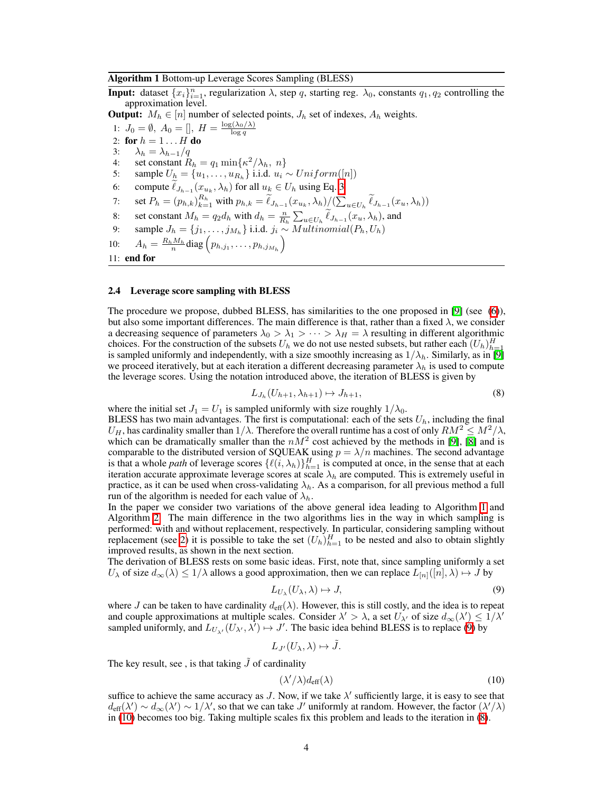#### <span id="page-3-0"></span>Algorithm 1 Bottom-up Leverage Scores Sampling (BLESS)

**Input:** dataset  $\{x_i\}_{i=1}^n$ , regularization  $\lambda$ , step *q*, starting reg.  $\lambda_0$ , constants  $q_1, q_2$  controlling the approximation level.

**Output:**  $M_h \in [n]$  number of selected points,  $J_h$  set of indexes,  $A_h$  weights.

1:  $J_0 = \emptyset$ ,  $A_0 = []$ ,  $H = \frac{\log(\lambda_0/\lambda)}{\log q}$ 2: for  $h = 1 \ldots H$  do 3:  $\lambda_h = \lambda_{h-1}/q$ <br>4: set constant R 4: set constant  $R_h = q_1 \min\{\kappa^2/\lambda_h, n\}$ 5: sample  $U_h = \{u_1, \ldots, u_{R_h}\}\$  i.i.d.  $u_i \sim Uniform([n])$ 6: compute  $\ell_{J_{h-1}}(x_{u_k}, \lambda_h)$  for all  $u_k \in U_h$  using Eq. [3](#page-1-1) 7: set  $P_h = (p_{h,k})_{k=1}^{R_h}$  with  $p_{h,k} = \tilde{\ell}_{J_{h-1}}(x_{u_k}, \lambda_h) / (\sum_{u \in U_h} \tilde{\ell}_{J_{h-1}}(x_u, \lambda_h))$ 8: set constant  $M_h = q_2 d_h$  with  $d_h = \frac{n}{R_h} \sum_{u \in U_h} \tilde{\ell}_{J_{h-1}}(x_u, \lambda_h)$ , and 9: sample  $J_h = \{j_1, \ldots, j_{M_h}\}$  i.i.d.  $j_i \sim Multinomial(P_h, U_h)$ 10:  $A_h = \frac{R_h M_h}{n} \text{diag} \left( p_{h,j_1}, \ldots, p_{h,j_{M_h}} \right)$ 11: end for

#### 2.4 Leverage score sampling with BLESS

The procedure we propose, dubbed BLESS, has similarities to the one proposed in  $[9]$  (see  $(6)$ ), but also some important differences. The main difference is that, rather than a fixed  $\lambda$ , we consider a decreasing sequence of parameters  $\lambda_0 > \lambda_1 > \cdots > \lambda_H = \lambda$  resulting in different algorithmic choices. For the construction of the subsets  $U_h$  we do not use nested subsets, but rather each  $(U_h)_{h=1}^H$ is sampled uniformly and independently, with a size smoothly increasing as  $1/\lambda_h$ . Similarly, as in  $[9]$ we proceed iteratively, but at each iteration a different decreasing parameter  $\lambda_h$  is used to compute the leverage scores. Using the notation introduced above, the iteration of BLESS is given by

<span id="page-3-3"></span>
$$
L_{J_h}(U_{h+1}, \lambda_{h+1}) \mapsto J_{h+1},\tag{8}
$$

where the initial set  $J_1 = U_1$  is sampled uniformly with size roughly  $1/\lambda_0$ .

BLESS has two main advantages. The first is computational: each of the sets  $U_h$ , including the final  $U_H$ , has cardinality smaller than  $1/\lambda$ . Therefore the overall runtime has a cost of only  $RM^2 \leq M^2/\lambda$ , which can be dramatically smaller than the  $nM^2$  cost achieved by the methods in  $[9]$ ,  $[8]$  and is comparable to the distributed version of SQUEAK using  $p = \lambda/n$  machines. The second advantage is that a whole *path* of leverage scores  $\{\ell(i, \lambda_h)\}_{h=1}^H$  is computed at once, in the sense that at each iteration accurate approximate leverage scores at scale  $\lambda_h$  are computed. This is extremely useful in practice, as it can be used when cross-validating  $\lambda_h$ . As a comparison, for all previous method a full run of the algorithm is needed for each value of  $\lambda_h$ .

In the paper we consider two variations of the above general idea leading to Algorithm  $\prod$  and Algorithm  $\boxed{2}$ . The main difference in the two algorithms lies in the way in which sampling is performed: with and without replacement, respectively. In particular, considering sampling without replacement (see  $2$ ) it is possible to take the set  $(U_h)_{h=1}^H$  to be nested and also to obtain slightly improved results, as shown in the next section.

The derivation of BLESS rests on some basic ideas. First, note that, since sampling uniformly a set  $U_{\lambda}$  of size  $d_{\infty}(\lambda) \leq 1/\lambda$  allows a good approximation, then we can replace  $L_{[n]}([n], \lambda) \mapsto J$  by

<span id="page-3-1"></span>
$$
L_{U_{\lambda}}(U_{\lambda}, \lambda) \mapsto J,\tag{9}
$$

where *J* can be taken to have cardinality  $d_{\text{eff}}(\lambda)$ . However, this is still costly, and the idea is to repeat and couple approximations at multiple scales. Consider  $\lambda' > \lambda$ , a set  $U_{\lambda'}$  of size  $d_{\infty}(\lambda') \leq 1/\lambda'$ sampled uniformly, and  $L_{U_{\lambda'}}(U_{\lambda'}, \lambda') \mapsto J'$ . The basic idea behind BLESS is to replace [\(9\)](#page-3-1) by

$$
L_{J'}(U_{\lambda},\lambda)\mapsto \tilde{J}.
$$

The key result, see , is that taking  $\tilde{J}$  of cardinality

<span id="page-3-2"></span>
$$
(\lambda'/\lambda)d_{\text{eff}}(\lambda) \tag{10}
$$

suffice to achieve the same accuracy as *J*. Now, if we take  $\lambda'$  sufficiently large, it is easy to see that  $d_{\text{eff}}(\lambda') \sim d_{\infty}(\lambda') \sim 1/\lambda'$ , so that we can take *J'* uniformly at random. However, the factor  $(\lambda'/\lambda)$ in  $(10)$  becomes too big. Taking multiple scales fix this problem and leads to the iteration in  $(8)$ .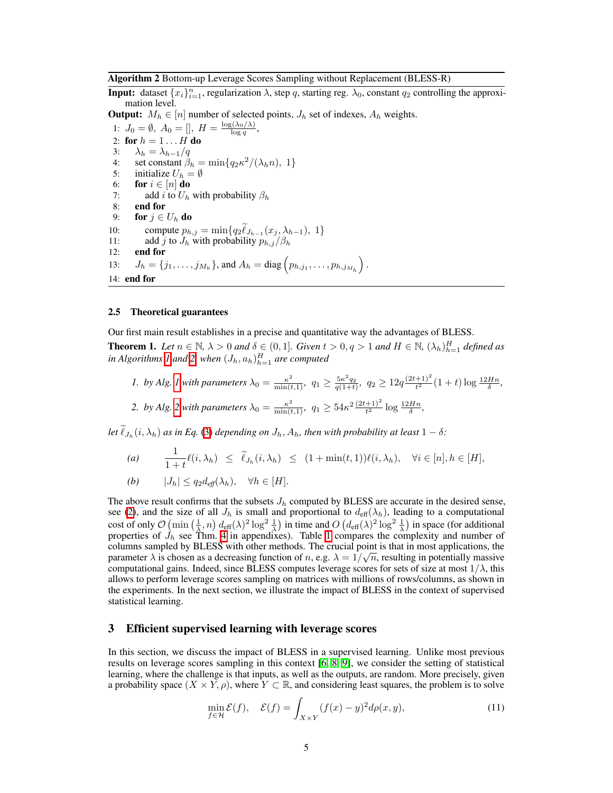<span id="page-4-0"></span>Algorithm 2 Bottom-up Leverage Scores Sampling without Replacement (BLESS-R)

**Input:** dataset  $\{x_i\}_{i=1}^n$ , regularization  $\lambda$ , step *q*, starting reg.  $\lambda_0$ , constant  $q_2$  controlling the approximation level.

**Output:**  $M_h \in [n]$  number of selected points,  $J_h$  set of indexes,  $A_h$  weights.

1:  $J_0 = \emptyset$ ,  $A_0 = []$ ,  $H = \frac{\log(\lambda_0/\lambda)}{\log q}$ , 2: for  $h = 1 \ldots H$  do 3:  $\lambda_h = \lambda_{h-1}/q$ <br>4: set constant  $\beta_l$ 4: set constant  $\hat{\beta}_h = \min\{q_2\kappa^2/(\lambda_h n), 1\}$ <br>5: initialize  $U_h = \emptyset$ 5: initialize  $U_h = \emptyset$ <br>6: **for**  $i \in [n]$  **do** 6: **for**  $i \in [n]$  **do**<br>7: **add**  $i$  to  $U_h$ add *i* to  $U_h$  with probability  $\beta_h$ 8: end for 9: **for**  $j \in U_h$  **do**<br>10: **compute**  $p_h$ 10: compute  $p_{h,j} = \min\{q_2\ell_{J_{h-1}}(x_j,\lambda_{h-1}), 1\}$ 11: add *j* to  $J_h$  with probability  $p_{h,j}/\beta_h$ <br>12: **end for** end for 13:  $J_h = \{j_1, \ldots, j_{M_h}\}\text{, and } A_h = \text{diag}\left(p_{h,j_1}, \ldots, p_{h,j_{M_h}}\right)\text{.}$ 14: end for

#### 2.5 Theoretical guarantees

Our first main result establishes in a precise and quantitative way the advantages of BLESS.

**Theorem 1.** Let  $n \in \mathbb{N}$ ,  $\lambda > 0$  and  $\delta \in (0,1]$ . Given  $t > 0$ ,  $q > 1$  and  $H \in \mathbb{N}$ ,  $(\lambda_h)_{h=1}^H$  defined as  $i$ *n Algorithms*  $I$  and  $2$  *when*  $(J_h, a_h)_{h=1}^H$  are computed

1. by Alg. 
$$
\frac{1}{2} \text{ with parameters } \lambda_0 = \frac{\kappa^2}{\min(t,1)}, \quad q_1 \ge \frac{5\kappa^2 q_2}{q(1+t)}, \quad q_2 \ge 12q \frac{(2t+1)^2}{t^2} (1+t) \log \frac{12Hn}{\delta},
$$
\n2. by Alg. 
$$
\frac{1}{2} \text{ with parameters } \lambda_0 = \frac{\kappa^2}{\min(t,1)}, \quad q_1 \ge 54\kappa^2 \frac{(2t+1)^2}{t^2} \log \frac{12Hn}{\delta},
$$

Let  $\ell_{J_h}(i, \lambda_h)$  as in Eq. [\(3\)](#page-1-1) depending on  $J_h$ ,  $A_h$ , then with probability at least  $1 - \delta$ :

(a) 
$$
\frac{1}{1+t}\ell(i,\lambda_h) \leq \tilde{\ell}_{J_h}(i,\lambda_h) \leq (1+\min(t,1))\ell(i,\lambda_h), \quad \forall i \in [n], h \in [H],
$$
  
(b) 
$$
|J_h| \leq q_2 d_{\text{eff}}(\lambda_h), \quad \forall h \in [H].
$$

The above result confirms that the subsets  $J<sub>h</sub>$  computed by BLESS are accurate in the desired sense, see [\(2\)](#page-1-2), and the size of all  $J_h$  is small and proportional to  $d_{\text{eff}}(\lambda_h)$ , leading to a computational cost of only  $\mathcal{O}$   $\left(\min\left(\frac{1}{\lambda},n\right)d_{\text{eff}}(\lambda)^2\log^2\frac{1}{\lambda}\right)$  in time and  $O\left(d_{\text{eff}}(\lambda)^2\log^2\frac{1}{\lambda}\right)$  in space (for additional properties of  $J_h$  see Thm.  $\frac{4}{1}$  in appendixes). Table  $\boxed{1}$  compares the complexity and number of columns sampled by BLESS with other methods. The crucial point is that in most applications, the parameter  $\lambda$  is chosen as a decreasing function of *n*, e.g.  $\lambda = 1/\sqrt{n}$ , resulting in potentially massive computational gains. Indeed, since BLESS computes leverage scores for sets of size at most  $1/\lambda$ , this allows to perform leverage scores sampling on matrices with millions of rows/columns, as shown in the experiments. In the next section, we illustrate the impact of BLESS in the context of supervised statistical learning.

## 3 Efficient supervised learning with leverage scores

In this section, we discuss the impact of BLESS in a supervised learning. Unlike most previous results on leverage scores sampling in this context  $\overline{6}$ ,  $\overline{8}$ ,  $\overline{9}$ , we consider the setting of statistical learning, where the challenge is that inputs, as well as the outputs, are random. More precisely, given a probability space  $(X \times Y, \rho)$ , where  $Y \subset \mathbb{R}$ , and considering least squares, the problem is to solve

<span id="page-4-1"></span>
$$
\min_{f \in \mathcal{H}} \mathcal{E}(f), \quad \mathcal{E}(f) = \int_{X \times Y} (f(x) - y)^2 d\rho(x, y), \tag{11}
$$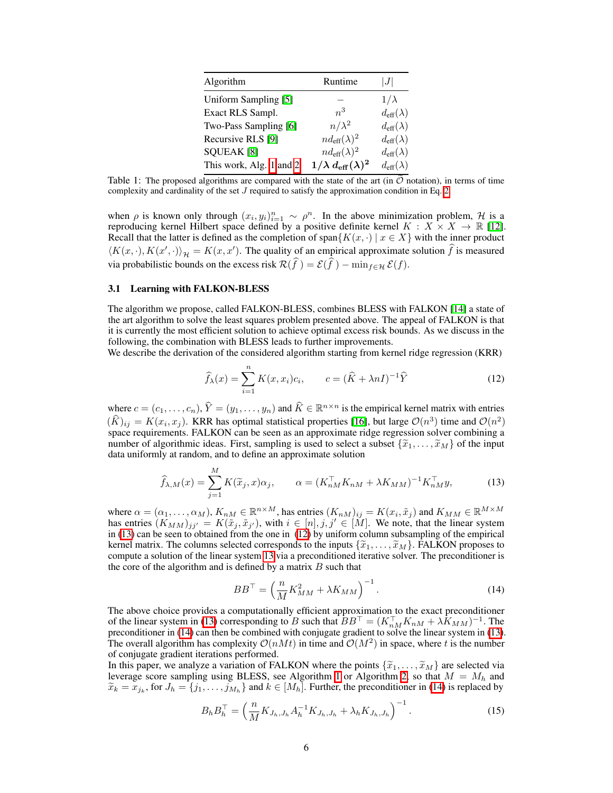<span id="page-5-0"></span>

| Algorithm                    | Runtime                                 | J                         |
|------------------------------|-----------------------------------------|---------------------------|
| Uniform Sampling [5]         |                                         | $1/\lambda$               |
| Exact RLS Sampl.             | $n^3$                                   | $d_{\text{eff}}(\lambda)$ |
| Two-Pass Sampling [6]        | $n/\lambda^2$                           | $d_{\text{eff}}(\lambda)$ |
| Recursive RLS [9]            | $nd_{\text{eff}}(\lambda)^2$            | $d_{\text{eff}}(\lambda)$ |
| <b>SQUEAK</b> <sup>[8]</sup> | $nd_{\text{eff}}(\lambda)^2$            | $d_{\text{eff}}(\lambda)$ |
| This work, Alg. 1 and 2      | $1/\lambda d_{\textrm{eff}}(\lambda)^2$ | $d_{\text{eff}}(\lambda)$ |

Table 1: The proposed algorithms are compared with the state of the art (in  $\tilde{O}$  notation), in terms of time complexity and cardinality of the set  $J$  required to satisfy the approximation condition in Eq.  $2$ .

when  $\rho$  is known only through  $(x_i, y_i)_{i=1}^n \sim \rho^n$ . In the above minimization problem, *H* is a reproducing kernel Hilbert space defined by a positive definite kernel  $K : X \times X \to \mathbb{R}$  [\[12\]](#page-9-11). Recall that the latter is defined as the completion of span ${K(x, \cdot) | x \in X}$  with the inner product  $\langle K(x, \cdot), K(x', \cdot) \rangle_{\mathcal{H}} = K(x, x')$ . The quality of an empirical approximate solution *f* is measured via probabilistic bounds on the excess risk  $\mathcal{R}(f) = \mathcal{E}(f) - \min_{f \in \mathcal{H}} \mathcal{E}(f)$ .

#### 3.1 Learning with FALKON-BLESS

The algorithm we propose, called FALKON-BLESS, combines BLESS with FALKON [\[14\]](#page-9-13) a state of the art algorithm to solve the least squares problem presented above. The appeal of FALKON is that it is currently the most efficient solution to achieve optimal excess risk bounds. As we discuss in the following, the combination with BLESS leads to further improvements.

We describe the derivation of the considered algorithm starting from kernel ridge regression (KRR)

<span id="page-5-2"></span><span id="page-5-1"></span>
$$
\widehat{f}_{\lambda}(x) = \sum_{i=1}^{n} K(x, x_i) c_i, \qquad c = (\widehat{K} + \lambda n I)^{-1} \widehat{Y}
$$
\n(12)

where  $c = (c_1, \ldots, c_n)$ ,  $\hat{Y} = (y_1, \ldots, y_n)$  and  $\hat{K} \in \mathbb{R}^{n \times n}$  is the empirical kernel matrix with entries  $(\widehat{K})_{ij} = K(x_i, x_j)$ . KRR has optimal statistical properties [\[16\]](#page-10-0), but large  $\mathcal{O}(n^3)$  time and  $\mathcal{O}(n^2)$ space requirements. FALKON can be seen as an approximate ridge regression solver combining a number of algorithmic ideas. First, sampling is used to select a subset  $\{\tilde{x}_1, \ldots, \tilde{x}_M\}$  of the input data uniformly at random, and to define an approximate solution

$$
\widehat{f}_{\lambda,M}(x) = \sum_{j=1}^{M} K(\widetilde{x}_j, x)\alpha_j, \qquad \alpha = (K_{nM}^\top K_{nM} + \lambda K_{MM})^{-1} K_{nM}^\top y,\tag{13}
$$

where  $\alpha = (\alpha_1, \ldots, \alpha_M)$ ,  $K_{nM} \in \mathbb{R}^{n \times M}$ , has entries  $(K_{nM})_{ij} = K(x_i, \tilde{x}_j)$  and  $K_{MM} \in \mathbb{R}^{M \times M}$ has entries  $(K_{MM})_{jj'} = K(\tilde{x}_j, \tilde{x}_{j'})$ , with  $i \in [n], j, j' \in [M]$ . We note, that the linear system in  $\overline{[13]}$  can be seen to obtained from the one in  $\overline{[12]}$  by uniform column subsampling of the empirical kernel matrix. The columns selected corresponds to the inputs  ${\{\widetilde{x}_1,\ldots,\widetilde{x}_M\}}$ . FALKON proposes to compute a solution of the linear system  $\boxed{13}$  via a preconditioned iterative solver. The preconditioner is the core of the algorithm and is defined by a matrix *B* such that

<span id="page-5-3"></span>
$$
BB^{\top} = \left(\frac{n}{M}K_{MM}^2 + \lambda K_{MM}\right)^{-1}.\tag{14}
$$

The above choice provides a computationally efficient approximation to the exact preconditioner of the linear system in [\(13\)](#page-5-1) corresponding to *B* such that  $BB^{\top} = (K_{nM}^{\top} K_{nM} + \lambda K_{MM})^{-1}$ . The preconditioner in [\(14\)](#page-5-3) can then be combined with conjugate gradient to solve the linear system in [\(13\)](#page-5-1). The overall algorithm has complexity  $O(nM t)$  in time and  $O(M^2)$  in space, where *t* is the number of conjugate gradient iterations performed.

In this paper, we analyze a variation of FALKON where the points  $\{\tilde{x}_1, \ldots, \tilde{x}_M\}$  are selected via leverage score sampling using BLESS, see Algorithm  $\boxed{1}$  or Algorithm  $\boxed{2}$ , so that  $M = M_h$  and  $\widetilde{x}_k = x_{j_k}$ , for  $J_h = \{j_1, \ldots, j_{M_h}\}$  and  $k \in [M_h]$ . Further, the preconditioner in [\(14\)](#page-5-3) is replaced by

$$
B_h B_h^{\top} = \left(\frac{n}{M} K_{J_h, J_h} A_h^{-1} K_{J_h, J_h} + \lambda_h K_{J_h, J_h}\right)^{-1}.
$$
 (15)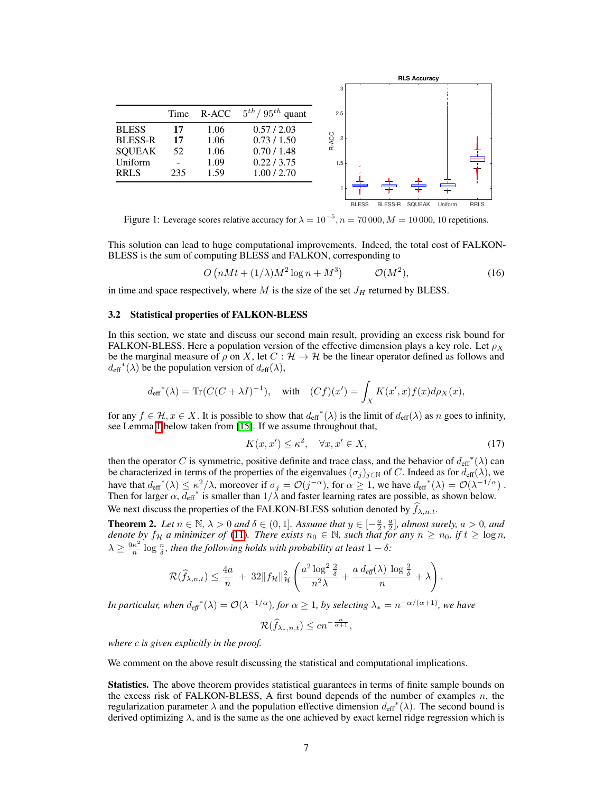<span id="page-6-2"></span>

Figure 1: Leverage scores relative accuracy for  $\lambda = 10^{-5}$ ,  $n = 70000$ ,  $M = 10000$ , 10 repetitions.

This solution can lead to huge computational improvements. Indeed, the total cost of FALKON-BLESS is the sum of computing BLESS and FALKON, corresponding to

<span id="page-6-0"></span>
$$
O\left(nMt + (1/\lambda)M^2\log n + M^3\right) \qquad \mathcal{O}(M^2),\tag{16}
$$

in time and space respectively, where  $M$  is the size of the set  $J_H$  returned by BLESS.

#### 3.2 Statistical properties of FALKON-BLESS

In this section, we state and discuss our second main result, providing an excess risk bound for FALKON-BLESS. Here a population version of the effective dimension plays a key role. Let  $\rho_X$ be the marginal measure of  $\rho$  on *X*, let  $C : \mathcal{H} \to \mathcal{H}$  be the linear operator defined as follows and  $d_{\text{eff}}^*(\lambda)$  be the population version of  $d_{\text{eff}}(\lambda)$ ,

$$
d_{\mathrm{eff}}{}^*(\lambda)=\text{Tr}(C(C+\lambda I)^{-1}),\quad\text{with}\quad (Cf)(x')=\int_X K(x',x)f(x)d\rho_X(x),
$$

for any  $f \in \mathcal{H}, x \in X$ . It is possible to show that  $d_{\text{eff}}^*(\lambda)$  is the limit of  $d_{\text{eff}}(\lambda)$  as *n* goes to infinity, see Lemma  $\sqrt{1}$  below taken from  $\sqrt{15}$ . If we assume throughout that,

$$
K(x, x') \le \kappa^2, \quad \forall x, x' \in X,\tag{17}
$$

then the operator *C* is symmetric, positive definite and trace class, and the behavior of  $d_{\text{eff}}^*(\lambda)$  can be characterized in terms of the properties of the eigenvalues  $(\sigma_j)_{j\in\mathbb{N}}$  of *C*. Indeed as for  $d_{\text{eff}}(\lambda)$ , we have that  $d_{\text{eff}}^*(\lambda) \leq \kappa^2/\lambda$ , moreover if  $\sigma_j = \mathcal{O}(j^{-\alpha})$ , for  $\alpha \geq 1$ , we have  $d_{\text{eff}}^*(\lambda) = \mathcal{O}(\lambda^{-1/\alpha})$ . Then for larger  $\alpha$ ,  $d_{\text{eff}}^*$  is smaller than  $1/\lambda$  and faster learning rates are possible, as shown below. We next discuss the properties of the FALKON-BLESS solution denoted by  $f_{\lambda,n,t}$ .

<span id="page-6-1"></span>**Theorem 2.** Let  $n \in \mathbb{N}$ ,  $\lambda > 0$  and  $\delta \in (0, 1]$ . Assume that  $y \in [-\frac{a}{2}, \frac{a}{2}]$ , almost surely,  $a > 0$ , and *denote by*  $f_{\mathcal{H}}$  *a minimizer of*  $(\Pi)$ *. There exists*  $n_0 \in \mathbb{N}$ *, such that for any*  $n \geq n_0$ *, if*  $t \geq \log n$ *,*  $\lambda \geq \frac{9\kappa^2}{n} \log \frac{n}{\delta}$ , then the following holds with probability at least  $1 - \delta$ :

$$
\mathcal{R}(\widehat{f}_{\lambda,n,t}) \leq \frac{4a}{n} + 32\|f_{\mathcal{H}}\|_{\mathcal{H}}^2 \left( \frac{a^2 \log^2 \frac{2}{\delta}}{n^2 \lambda} + \frac{a \, d_{\mathit{eff}}(\lambda) \, \log \frac{2}{\delta}}{n} + \lambda \right).
$$

*In particular, when*  $d_{eff}^*(\lambda) = \mathcal{O}(\lambda^{-1/\alpha})$ *, for*  $\alpha \geq 1$ *, by selecting*  $\lambda_* = n^{-\alpha/(\alpha+1)}$ *, we have* 

$$
\mathcal{R}(\widehat{f}_{\lambda_*,n,t}) \le c n^{-\frac{\alpha}{\alpha+1}},
$$

*where c is given explicitly in the proof.*

We comment on the above result discussing the statistical and computational implications.

Statistics. The above theorem provides statistical guarantees in terms of finite sample bounds on the excess risk of FALKON-BLESS, A first bound depends of the number of examples *n*, the regularization parameter  $\lambda$  and the population effective dimension  $d_{\text{eff}}^*(\lambda)$ . The second bound is derived optimizing  $\lambda$ , and is the same as the one achieved by exact kernel ridge regression which is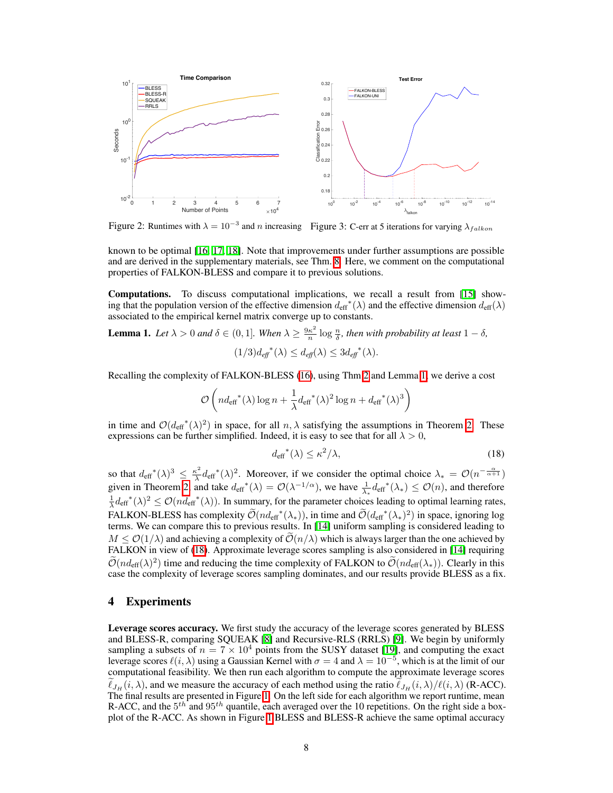<span id="page-7-2"></span>

Figure 2: Runtimes with  $\lambda = 10^{-3}$  and *n* increasing Figure 3: C-err at 5 iterations for varying  $\lambda_{falkon}$ 

known to be optimal  $[16, 17, 18]$  $[16, 17, 18]$  $[16, 17, 18]$  $[16, 17, 18]$  $[16, 17, 18]$ . Note that improvements under further assumptions are possible and are derived in the supplementary materials, see Thm.  $\mathcal{B}$ . Here, we comment on the computational properties of FALKON-BLESS and compare it to previous solutions.

**Computations.** To discuss computational implications, we recall a result from  $[15]$  showing that the population version of the effective dimension  $d_{\text{eff}}^*(\lambda)$  and the effective dimension  $d_{\text{eff}}(\lambda)$ associated to the empirical kernel matrix converge up to constants.

<span id="page-7-0"></span>**Lemma 1.** Let  $\lambda > 0$  and  $\delta \in (0, 1]$ . When  $\lambda \geq \frac{9\kappa^2}{n} \log \frac{n}{\delta}$ , then with probability at least  $1 - \delta$ ,  $(1/3)d_{\text{eff}}^{*}(\lambda) \leq d_{\text{eff}}(\lambda) \leq 3d_{\text{eff}}^{*}(\lambda).$ 

Recalling the complexity of FALKON-BLESS  $(16)$ , using Thm  $[2]$  and Lemma  $[1]$ , we derive a cost

$$
\mathcal{O}\left(nd_{\mathrm{eff}}^*(\lambda)\log n+\frac{1}{\lambda} {d_{\mathrm{eff}}^*(\lambda)^2\log n}+{d_{\mathrm{eff}}^*(\lambda)^3}\right)
$$

in time and  $\mathcal{O}(d_{\text{eff}}^*(\lambda)^2)$  in space, for all  $n, \lambda$  satisfying the assumptions in Theorem [2.](#page-6-1) These expressions can be further simplified. Indeed, it is easy to see that for all  $\lambda > 0$ ,

<span id="page-7-1"></span>
$$
d_{\text{eff}}^{*}(\lambda) \le \kappa^{2}/\lambda,\tag{18}
$$

so that  $d_{\text{eff}}^*(\lambda)^3 \leq \frac{\kappa^2}{\lambda} d_{\text{eff}}^*(\lambda)^2$ . Moreover, if we consider the optimal choice  $\lambda_* = \mathcal{O}(n^{-\frac{\alpha}{\alpha+1}})$ given in Theorem [2,](#page-6-1) and take  $d_{\text{eff}}^*(\lambda) = \mathcal{O}(\lambda^{-1/\alpha})$ , we have  $\frac{1}{\lambda_*}d_{\text{eff}}^*(\lambda_*) \leq \mathcal{O}(n)$ , and therefore  $\frac{1}{\lambda} d_{\text{eff}}^*(\lambda)^2 \leq \mathcal{O}(n \overline{d}_{\text{eff}}^*(\lambda)).$  In summary, for the parameter choices leading to optimal learning rates, FALKON-BLESS has complexity  $\tilde{\mathcal{O}}(nd_{\text{eff}}^*(\lambda_*))$ , in time and  $\tilde{\mathcal{O}}(d_{\text{eff}}^*(\lambda_*)^2)$  in space, ignoring log terms. We can compare this to previous results. In  $\left[\frac{1}{4}\right]$  uniform sampling is considered leading to  $M < O(1/\lambda)$  and achieving a complexity of  $O(n/\lambda)$  which is always larger than the one achieved by FALKON in view of <sup>[18]</sup>. Approximate leverage scores sampling is also considered in [\[14\]](#page-9-13) requiring  $O(n d_{\text{eff}}(\lambda)^2)$  time and reducing the time complexity of FALKON to  $O(n d_{\text{eff}}(\lambda_*))$ . Clearly in this case the complexity of leverage scores sampling dominates, and our results provide BLESS as a fix.

## 4 Experiments

Leverage scores accuracy. We first study the accuracy of the leverage scores generated by BLESS and BLESS-R, comparing SQUEAK  $[8]$  and Recursive-RLS (RRLS)  $[9]$ . We begin by uniformly sampling a subsets of  $n = 7 \times 10^4$  points from the SUSY dataset [\[19\]](#page-10-3), and computing the exact leverage scores  $\ell(i, \lambda)$  using a Gaussian Kernel with  $\sigma = 4$  and  $\lambda = 10^{-5}$ , which is at the limit of our computational feasibility. We then run each algorithm to compute the approximate leverage scores  $\ell_{JH}(i, \lambda)$ , and we measure the accuracy of each method using the ratio  $\ell_{JH}(i, \lambda) / \ell(i, \lambda)$  (R-ACC). The final results are presented in Figure  $\prod$  On the left side for each algorithm we report runtime, mean R-ACC, and the 5<sup>th</sup> and 95<sup>th</sup> quantile, each averaged over the 10 repetitions. On the right side a boxplot of the R-ACC. As shown in Figure  $\Pi$  BLESS and BLESS-R achieve the same optimal accuracy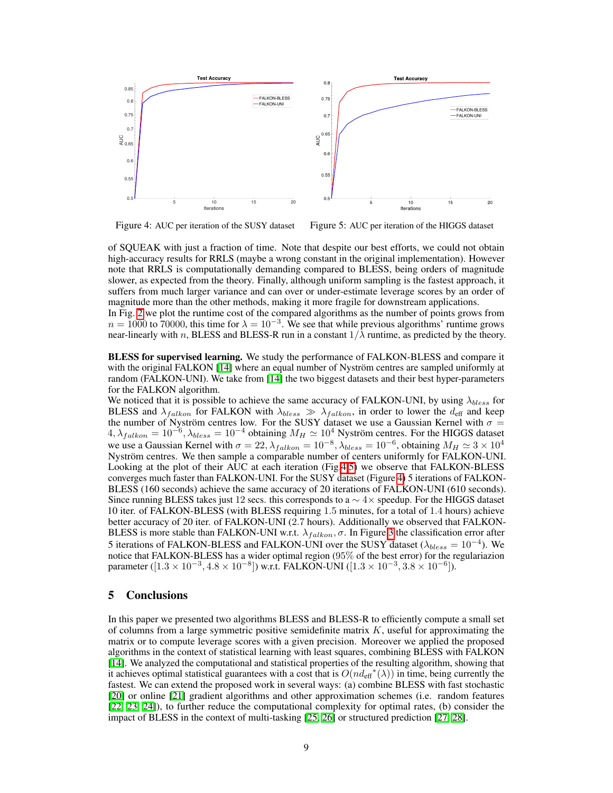<span id="page-8-0"></span>

Figure 4: AUC per iteration of the SUSY dataset Figure 5: AUC per iteration of the HIGGS dataset

of SQUEAK with just a fraction of time. Note that despite our best efforts, we could not obtain high-accuracy results for RRLS (maybe a wrong constant in the original implementation). However note that RRLS is computationally demanding compared to BLESS, being orders of magnitude slower, as expected from the theory. Finally, although uniform sampling is the fastest approach, it suffers from much larger variance and can over or under-estimate leverage scores by an order of magnitude more than the other methods, making it more fragile for downstream applications.

In Fig.  $\overline{2}$  we plot the runtime cost of the compared algorithms as the number of points grows from  $n = 1000$  to 70000, this time for  $\lambda = 10^{-3}$ . We see that while previous algorithms' runtime grows near-linearly with *n*, BLESS and BLESS-R run in a constant  $1/\lambda$  runtime, as predicted by the theory.

BLESS for supervised learning. We study the performance of FALKON-BLESS and compare it with the original FALKON  $\left[\frac{14}{4}\right]$  where an equal number of Nyström centres are sampled uniformly at random (FALKON-UNI). We take from  $\boxed{14}$  the two biggest datasets and their best hyper-parameters for the FALKON algorithm.

We noticed that it is possible to achieve the same accuracy of FALKON-UNI, by using  $\lambda_{bless}$  for BLESS and  $\lambda_{falkon}$  for FALKON with  $\lambda_{bless} \gg \lambda_{falkon}$ , in order to lower the  $d_{\text{eff}}$  and keep the number of Nyström centres low. For the SUSY dataset we use a Gaussian Kernel with  $\sigma =$  $4, \lambda_{fallon} = 10^{-6}, \lambda_{bles} = 10^{-4}$  obtaining  $M_H \simeq 10^4$  Nyström centres. For the HIGGS dataset we use a Gaussian Kernel with  $\sigma = 22$ ,  $\lambda_{fallon} = 10^{-8}$ ,  $\lambda_{bless} = 10^{-6}$ , obtaining  $M_H \simeq 3 \times 10^4$ <br>Nyström centres. We then sample a comparable number of centers uniformly for FALKON-UNI. Looking at the plot of their AUC at each iteration (Fig. $\sqrt{45}$ ) we observe that FALKON-BLESS converges much faster than FALKON-UNI. For the SUSY dataset (Figure  $\overline{A}$ ) 5 iterations of FALKON-BLESS (160 seconds) achieve the same accuracy of 20 iterations of FALKON-UNI (610 seconds). Since running BLESS takes just 12 secs. this corresponds to a  $\sim$  4 $\times$  speedup. For the HIGGS dataset 10 iter. of FALKON-BLESS (with BLESS requiring 1*.*5 minutes, for a total of 1*.*4 hours) achieve better accuracy of 20 iter. of FALKON-UNI (2*.*7 hours). Additionally we observed that FALKON-BLESS is more stable than FALKON-UNI w.r.t.  $\lambda_{falkon}, \sigma$ . In Figure  $\beta$  the classification error after 5 iterations of FALKON-BLESS and FALKON-UNI over the SUSY dataset ( $\lambda_{bless} = 10^{-4}$ ). We notice that FALKON-BLESS has a wider optimal region (95% of the best error) for the regulariazion parameter  $([1.3 \times 10^{-3}, 4.8 \times 10^{-8}])$  w.r.t. FALKON-UNI  $([1.3 \times 10^{-3}, 3.8 \times 10^{-6}])$ .

# 5 Conclusions

In this paper we presented two algorithms BLESS and BLESS-R to efficiently compute a small set of columns from a large symmetric positive semidefinite matrix *K*, useful for approximating the matrix or to compute leverage scores with a given precision. Moreover we applied the proposed algorithms in the context of statistical learning with least squares, combining BLESS with FALKON [\[14\]](#page-9-13). We analyzed the computational and statistical properties of the resulting algorithm, showing that it achieves optimal statistical guarantees with a cost that is  $O(n \cdot d_{\text{eff}}^*(\lambda))$  in time, being currently the fastest. We can extend the proposed work in several ways: (a) combine BLESS with fast stochastic [\[20\]](#page-10-4) or online [\[21\]](#page-10-5) gradient algorithms and other approximation schemes (i.e. random features  $[22, 23, 24]$  $[22, 23, 24]$  $[22, 23, 24]$  $[22, 23, 24]$  $[22, 23, 24]$ ), to further reduce the computational complexity for optimal rates, (b) consider the impact of BLESS in the context of multi-tasking  $[25, 26]$  $[25, 26]$  or structured prediction  $[27, 28]$  $[27, 28]$ .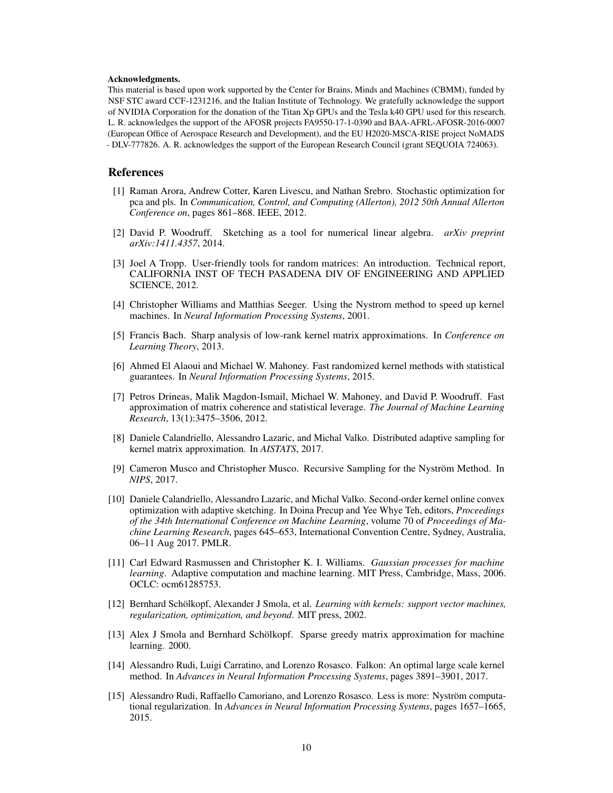#### Acknowledgments.

This material is based upon work supported by the Center for Brains, Minds and Machines (CBMM), funded by NSF STC award CCF-1231216, and the Italian Institute of Technology. We gratefully acknowledge the support of NVIDIA Corporation for the donation of the Titan Xp GPUs and the Tesla k40 GPU used for this research. L. R. acknowledges the support of the AFOSR projects FA9550-17-1-0390 and BAA-AFRL-AFOSR-2016-0007 (European Office of Aerospace Research and Development), and the EU H2020-MSCA-RISE project NoMADS - DLV-777826. A. R. acknowledges the support of the European Research Council (grant SEQUOIA 724063).

## References

- <span id="page-9-0"></span>[1] Raman Arora, Andrew Cotter, Karen Livescu, and Nathan Srebro. Stochastic optimization for pca and pls. In *Communication, Control, and Computing (Allerton), 2012 50th Annual Allerton Conference on*, pages 861–868. IEEE, 2012.
- <span id="page-9-1"></span>[2] David P. Woodruff. Sketching as a tool for numerical linear algebra. *arXiv preprint arXiv:1411.4357*, 2014.
- <span id="page-9-2"></span>[3] Joel A Tropp. User-friendly tools for random matrices: An introduction. Technical report, CALIFORNIA INST OF TECH PASADENA DIV OF ENGINEERING AND APPLIED SCIENCE, 2012.
- <span id="page-9-3"></span>[4] Christopher Williams and Matthias Seeger. Using the Nystrom method to speed up kernel machines. In *Neural Information Processing Systems*, 2001.
- <span id="page-9-4"></span>[5] Francis Bach. Sharp analysis of low-rank kernel matrix approximations. In *Conference on Learning Theory*, 2013.
- <span id="page-9-5"></span>[6] Ahmed El Alaoui and Michael W. Mahoney. Fast randomized kernel methods with statistical guarantees. In *Neural Information Processing Systems*, 2015.
- <span id="page-9-6"></span>[7] Petros Drineas, Malik Magdon-Ismail, Michael W. Mahoney, and David P. Woodruff. Fast approximation of matrix coherence and statistical leverage. *The Journal of Machine Learning Research*, 13(1):3475–3506, 2012.
- <span id="page-9-7"></span>[8] Daniele Calandriello, Alessandro Lazaric, and Michal Valko. Distributed adaptive sampling for kernel matrix approximation. In *AISTATS*, 2017.
- <span id="page-9-8"></span>[9] Cameron Musco and Christopher Musco. Recursive Sampling for the Nyström Method. In *NIPS*, 2017.
- <span id="page-9-9"></span>[10] Daniele Calandriello, Alessandro Lazaric, and Michal Valko. Second-order kernel online convex optimization with adaptive sketching. In Doina Precup and Yee Whye Teh, editors, *Proceedings of the 34th International Conference on Machine Learning*, volume 70 of *Proceedings of Machine Learning Research*, pages 645–653, International Convention Centre, Sydney, Australia, 06–11 Aug 2017. PMLR.
- <span id="page-9-10"></span>[11] Carl Edward Rasmussen and Christopher K. I. Williams. *Gaussian processes for machine learning*. Adaptive computation and machine learning. MIT Press, Cambridge, Mass, 2006. OCLC: ocm61285753.
- <span id="page-9-11"></span>[12] Bernhard Schölkopf, Alexander J Smola, et al. *Learning with kernels: support vector machines, regularization, optimization, and beyond*. MIT press, 2002.
- <span id="page-9-12"></span>[13] Alex J Smola and Bernhard Schölkopf. Sparse greedy matrix approximation for machine learning. 2000.
- <span id="page-9-13"></span>[14] Alessandro Rudi, Luigi Carratino, and Lorenzo Rosasco. Falkon: An optimal large scale kernel method. In *Advances in Neural Information Processing Systems*, pages 3891–3901, 2017.
- <span id="page-9-14"></span>[15] Alessandro Rudi, Raffaello Camoriano, and Lorenzo Rosasco. Less is more: Nyström computational regularization. In *Advances in Neural Information Processing Systems*, pages 1657–1665, 2015.